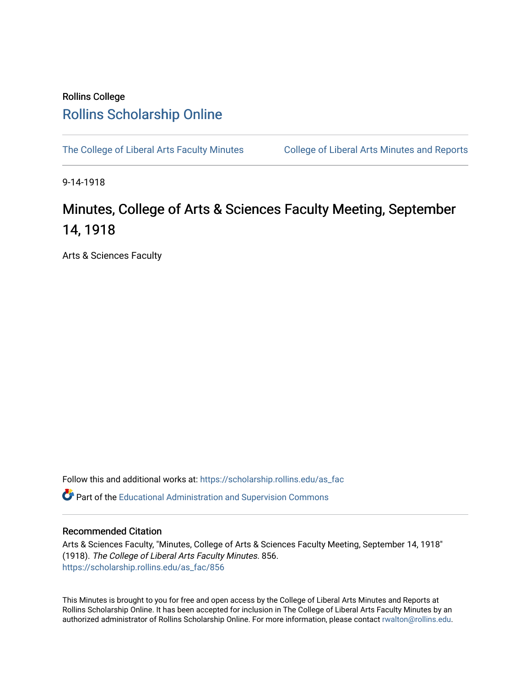## Rollins College [Rollins Scholarship Online](https://scholarship.rollins.edu/)

[The College of Liberal Arts Faculty Minutes](https://scholarship.rollins.edu/as_fac) College of Liberal Arts Minutes and Reports

9-14-1918

## Minutes, College of Arts & Sciences Faculty Meeting, September 14, 1918

Arts & Sciences Faculty

Follow this and additional works at: [https://scholarship.rollins.edu/as\\_fac](https://scholarship.rollins.edu/as_fac?utm_source=scholarship.rollins.edu%2Fas_fac%2F856&utm_medium=PDF&utm_campaign=PDFCoverPages) 

**P** Part of the [Educational Administration and Supervision Commons](http://network.bepress.com/hgg/discipline/787?utm_source=scholarship.rollins.edu%2Fas_fac%2F856&utm_medium=PDF&utm_campaign=PDFCoverPages)

## Recommended Citation

Arts & Sciences Faculty, "Minutes, College of Arts & Sciences Faculty Meeting, September 14, 1918" (1918). The College of Liberal Arts Faculty Minutes. 856. [https://scholarship.rollins.edu/as\\_fac/856](https://scholarship.rollins.edu/as_fac/856?utm_source=scholarship.rollins.edu%2Fas_fac%2F856&utm_medium=PDF&utm_campaign=PDFCoverPages) 

This Minutes is brought to you for free and open access by the College of Liberal Arts Minutes and Reports at Rollins Scholarship Online. It has been accepted for inclusion in The College of Liberal Arts Faculty Minutes by an authorized administrator of Rollins Scholarship Online. For more information, please contact [rwalton@rollins.edu](mailto:rwalton@rollins.edu).